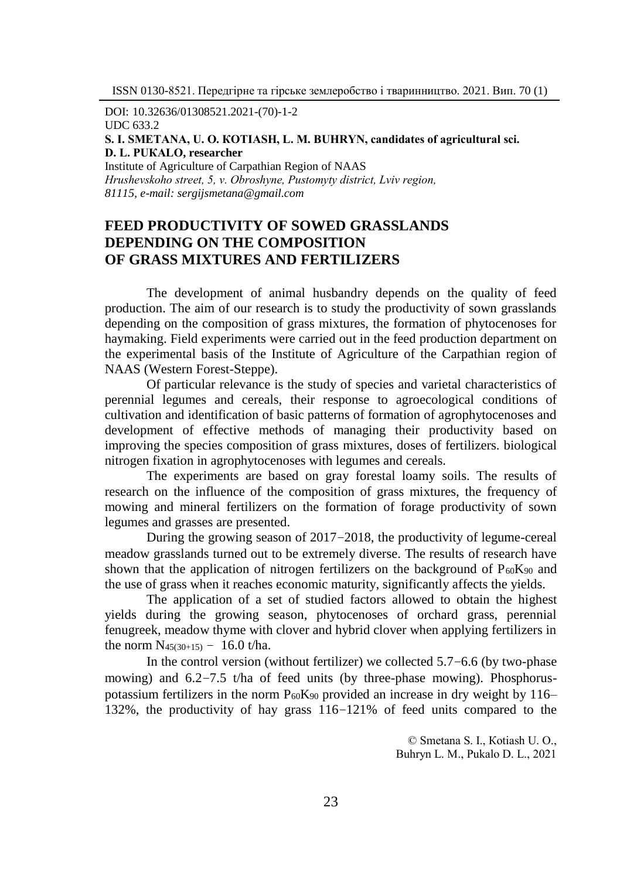DOI: 10.32636/01308521.2021-(70)-1-2

UDC 633.2

```
S. І. SМЕТАNА, U. О. КОТIASH, L. М. BUHRYN, cаndidates of agricultural sci. 
D. L. PUКАLО, researcher
```
Institute of Agriculture of Carpathian Region of NAAS *Hrushevskoho street, 5, v. Оbroshyne, Pustomyty district, Lviv region, 81115, e-mail: sergijsmetana@gmail.com*

## **FEED PRODUCTIVITY OF SOWED GRASSLANDS DEPENDING ON THE COMPOSITION OF GRASS MIXTURES AND FERTILIZERS**

The development of animal husbandry depends on the quality of feed production. The aim of our research is to study the productivity of sown grasslands depending on the composition of grass mixtures, the formation of phytocenoses for haymaking. Field experiments were carried out in the feed production department on the experimental basis of the Institute of Agriculture of the Carpathian region of NAAS (Western Forest-Steppe).

Of particular relevance is the study of species and varietal characteristics of perennial legumes and cereals, their response to agroecological conditions of cultivation and identification of basic patterns of formation of agrophytocenoses and development of effective methods of managing their productivity based on improving the species composition of grass mixtures, doses of fertilizers. biological nitrogen fixation in agrophytocenoses with legumes and cereals.

The experiments are based on gray forestal loamy soils. The results of research on the influence of the composition of grass mixtures, the frequency of mowing and mineral fertilizers on the formation of forage productivity of sown legumes and grasses are presented.

During the growing season of 2017–2018, the productivity of legume-cereal meadow grasslands turned out to be extremely diverse. The results of research have shown that the application of nitrogen fertilizers on the background of  $P_{60}K_{90}$  and the use of grass when it reaches economic maturity, significantly affects the yields.

The application of a set of studied factors allowed to obtain the highest yields during the growing season, phytocenoses of orchard grass, perennial fenugreek, meadow thyme with clover and hybrid clover when applying fertilizers in the norm  $N_{45(30+15)} - 16.0$  t/ha.

In the control version (without fertilizer) we collected 5.7–6.6 (by two-phase mowing) and  $6.2-7.5$  t/ha of feed units (by three-phase mowing). Phosphoruspotassium fertilizers in the norm  $P_{60}K_{90}$  provided an increase in dry weight by 116– 132%, the productivity of hay grass 116–121% of feed units compared to the

> © Smetana S. І., Коtiash U. О., Buhryn L. М., Pukаlо D. L., 2021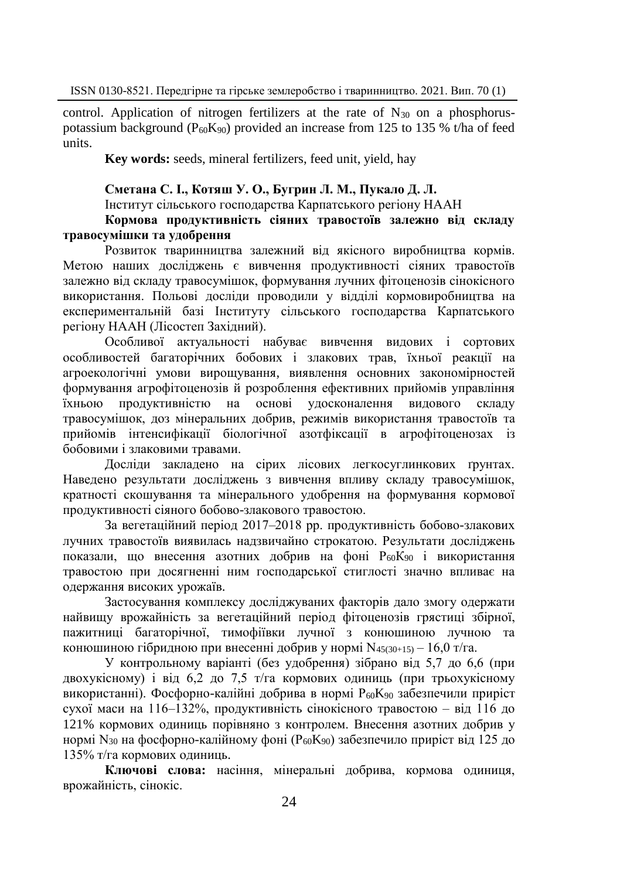control. Application of nitrogen fertilizers at the rate of  $N_{30}$  on a phosphoruspotassium background ( $P_{60}K_{90}$ ) provided an increase from 125 to 135 % t/ha of feed units.

**Key words:** seeds, mineral fertilizers, feed unit, yield, hay

## **Сметана С. І., Котяш У. О., Бугрин Л. М., Пукало Д. Л.**

Інститут сільського господарства Карпатського регіону НААН

**Кормова продуктивність сіяних травостоїв залежно від складу травосумішки та удобрення**

Розвиток тваринництва залежний від якісного виробництва кормів. Метою наших досліджень є вивчення продуктивності сіяних травостоїв залежно від складу травосумішок, формування лучних фітоценозів сінокісного використання. Польові досліди проводили у відділі кормовиробництва на експериментальній базі Інституту сільського господарства Карпатського регіону НААН (Лісостеп Західний).

Особливої актуальності набуває вивчення видових і сортових особливостей багаторічних бобових і злакових трав, їхньої реакції на агроекологічні умови вирощування, виявлення основних закономірностей формування агрофітоценозів й розроблення ефективних прийомів управління їхньою продуктивністю на основі удосконалення видового складу травосумішок, доз мінеральних добрив, режимів використання травостоїв та прийомів інтенсифікації біологічної азотфіксації в агрофітоценозах із бобовими і злаковими травами.

Досліди закладено на сірих лісових легкосуглинкових ґрунтах. Наведено результати досліджень з вивчення впливу складу травосумішок, кратності скошування та мінерального удобрення на формування кормової продуктивності сіяного бобово-злакового травостою.

За вегетаційний період 2017–2018 рр. продуктивність бобово-злакових лучних травостоїв виявилась надзвичайно строкатою. Результати досліджень показали, що внесення азотних добрив на фоні  $P_{60}K_{90}$  і використання травостою при досягненні ним господарської стиглості значно впливає на одержання високих урожаїв.

Застосування комплексу досліджуваних факторів дало змогу одержати найвищу врожайність за вегетаційний період фітоценозів грястиці збірної, пажитниці багаторічної, тимофіївки лучної з конюшиною лучною та конюшиною гібридною при внесенні добрив у нормі N45(30+15) – 16,0 т/гa.

У контрольному варіанті (без удобрення) зібрано від 5,7 до 6,6 (при двохукісному) і від 6,2 до 7,5 т/гa кормових одиниць (при трьохукісному використанні). Фосфорно-калійні добрива в нормі P60K<sup>90</sup> забезпечили приріст сухої маси на 116–132%, продуктивність сінокісного травостою ‒ від 116 до 121% кормових одиниць порівняно з контролем. Внесення азотних добрив у нормі  $N_{30}$  на фосфорно-калійному фоні ( $P_{60}K_{90}$ ) забезпечило приріст від 125 до 135% т/гa кормових одиниць.

**Ключові слова:** насіння, мінеральні добрива, кормова одиниця, врожайність, сінокіс.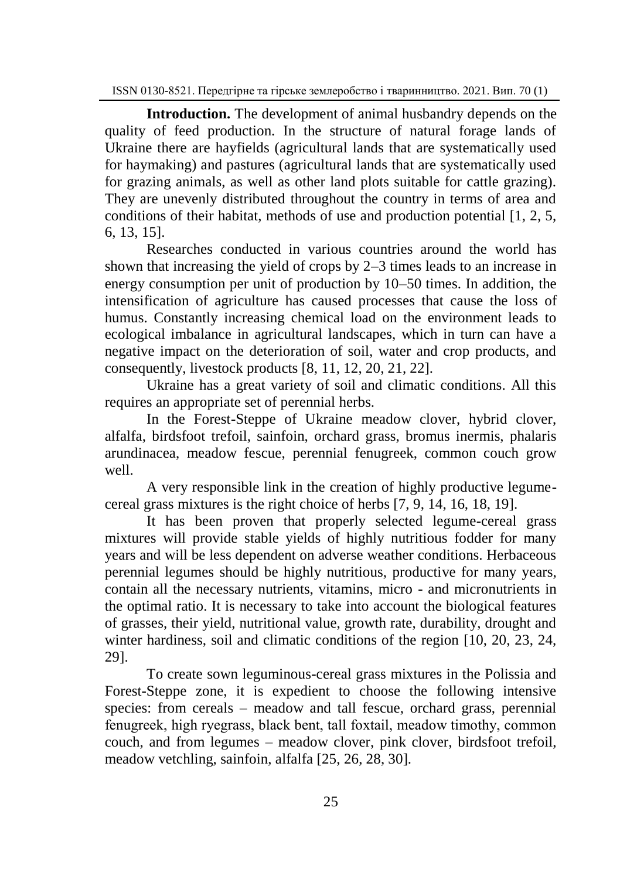**Introduction.** The development of animal husbandry depends on the quality of feed production. In the structure of natural forage lands of Ukraine there are hayfields (agricultural lands that are systematically used for haymaking) and pastures (agricultural lands that are systematically used for grazing animals, as well as other land plots suitable for cattle grazing). They are unevenly distributed throughout the country in terms of area and conditions of their habitat, methods of use and production potential [1, 2, 5, 6, 13, 15].

Researches conducted in various countries around the world has shown that increasing the yield of crops by 2–3 times leads to an increase in energy consumption per unit of production by 10–50 times. In addition, the intensification of agriculture has caused processes that cause the loss of humus. Constantly increasing chemical load on the environment leads to ecological imbalance in agricultural landscapes, which in turn can have a negative impact on the deterioration of soil, water and crop products, and consequently, livestock products [8, 11, 12, 20, 21, 22].

Ukraine has a great variety of soil and climatic conditions. All this requires an appropriate set of perennial herbs.

In the Forest-Steppe of Ukraine meadow clover, hybrid clover, alfalfa, birdsfoot trefoil, sainfoin, orchard grass, bromus inermis, phalaris arundinacea, meadow fescue, perennial fenugreek, common couch grow well.

A very responsible link in the creation of highly productive legumecereal grass mixtures is the right choice of herbs [7, 9, 14, 16, 18, 19].

It has been proven that properly selected legume-cereal grass mixtures will provide stable yields of highly nutritious fodder for many years and will be less dependent on adverse weather conditions. Herbaceous perennial legumes should be highly nutritious, productive for many years, contain all the necessary nutrients, vitamins, micro - and micronutrients in the optimal ratio. It is necessary to take into account the biological features of grasses, their yield, nutritional value, growth rate, durability, drought and winter hardiness, soil and climatic conditions of the region [10, 20, 23, 24, 29].

To create sown leguminous-cereal grass mixtures in the Polissia and Forest-Steppe zone, it is expedient to choose the following intensive species: from cereals – meadow and tall fescue, orchard grass, perennial fenugreek, high ryegrass, black bent, tall foxtail, meadow timothy, сommon couch, and from legumes – meadow clover, pink clover, birdsfoot trefoil, meadow vetchling, sainfoin, alfalfa [25, 26, 28, 30].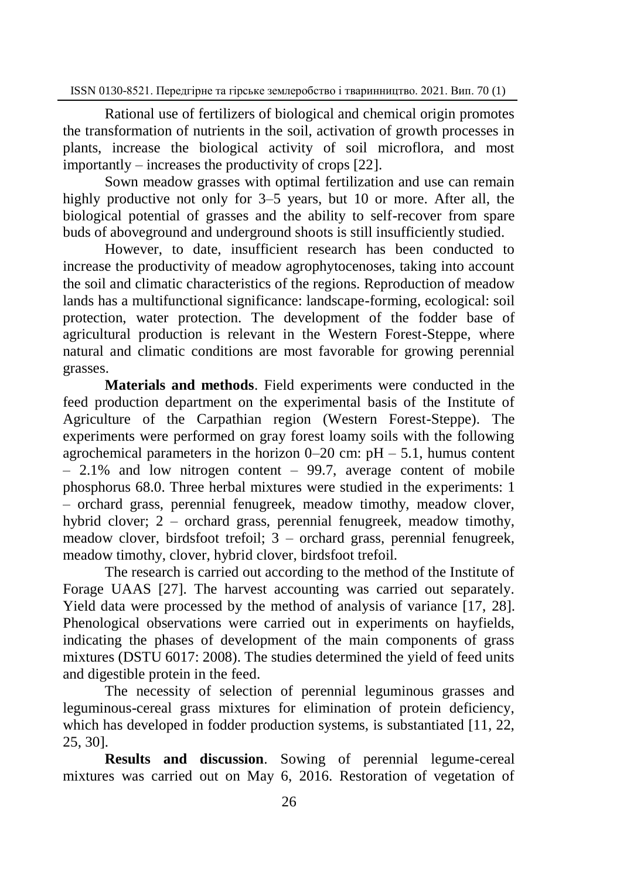Rational use of fertilizers of biological and chemical origin promotes the transformation of nutrients in the soil, activation of growth processes in plants, increase the biological activity of soil microflora, and most importantly – increases the productivity of crops [22].

Sown meadow grasses with optimal fertilization and use can remain highly productive not only for 3–5 years, but 10 or more. After all, the biological potential of grasses and the ability to self-recover from spare buds of aboveground and underground shoots is still insufficiently studied.

However, to date, insufficient research has been conducted to increase the productivity of meadow agrophytocenoses, taking into account the soil and climatic characteristics of the regions. Reproduction of meadow lands has a multifunctional significance: landscape-forming, ecological: soil protection, water protection. The development of the fodder base of agricultural production is relevant in the Western Forest-Steppe, where natural and climatic conditions are most favorable for growing perennial grasses.

**Materials and methods**. Field experiments were conducted in the feed production department on the experimental basis of the Institute of Agriculture of the Carpathian region (Western Forest-Steppe). The experiments were performed on gray forest loamy soils with the following agrochemical parameters in the horizon  $0-20$  cm:  $pH - 5.1$ , humus content  $-2.1\%$  and low nitrogen content  $-99.7$ , average content of mobile phosphorus 68.0. Three herbal mixtures were studied in the experiments: 1 – orchard grass, perennial fenugreek, meadow timothy, meadow clover, hybrid clover; 2 – orchard grass, perennial fenugreek, meadow timothy, meadow clover, birdsfoot trefoil;  $3$  – orchard grass, perennial fenugreek, meadow timothy, clover, hybrid clover, birdsfoot trefoil.

The research is carried out according to the method of the Institute of Forage UAAS [27]. The harvest accounting was carried out separately. Yield data were processed by the method of analysis of variance [17, 28]. Phenological observations were carried out in experiments on hayfields, indicating the phases of development of the main components of grass mixtures (DSTU 6017: 2008). The studies determined the yield of feed units and digestible protein in the feed.

The necessity of selection of perennial leguminous grasses and leguminous-cereal grass mixtures for elimination of protein deficiency, which has developed in fodder production systems, is substantiated [11, 22, 25, 30].

**Results and discussion**. Sowing of perennial legume-cereal mixtures was carried out on May 6, 2016. Restoration of vegetation of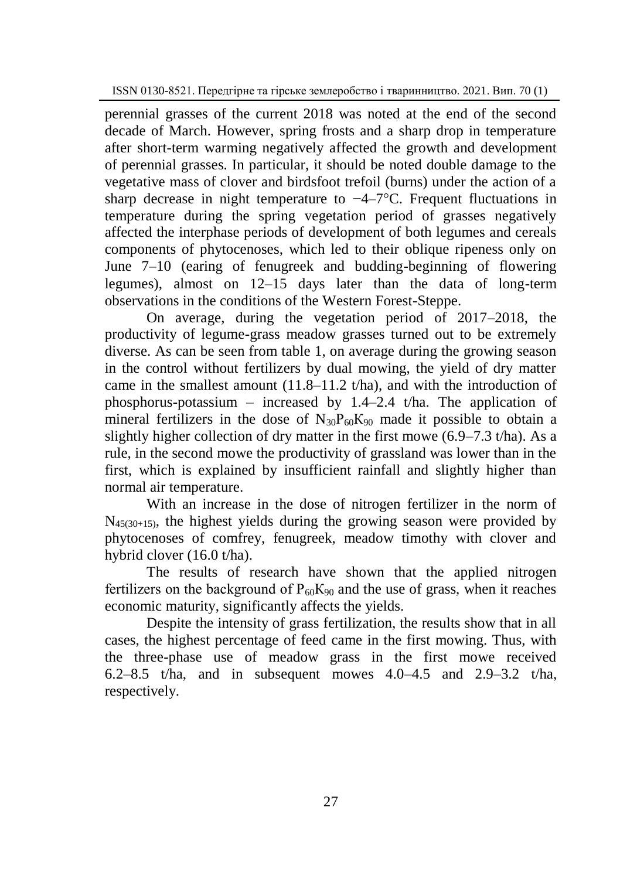perennial grasses of the current 2018 was noted at the end of the second decade of March. However, spring frosts and a sharp drop in temperature after short-term warming negatively affected the growth and development of perennial grasses. In particular, it should be noted double damage to the vegetative mass of clover and birdsfoot trefoil (burns) under the action of a sharp decrease in night temperature to  $-4-7$ °C. Frequent fluctuations in temperature during the spring vegetation period of grasses negatively affected the interphase periods of development of both legumes and cereals components of phytocenoses, which led to their oblique ripeness only on June 7–10 (earing of fenugreek and budding-beginning of flowering legumes), almost on 12–15 days later than the data of long-term observations in the conditions of the Western Forest-Steppe.

On average, during the vegetation period of 2017–2018, the productivity of legume-grass meadow grasses turned out to be extremely diverse. As can be seen from table 1, on average during the growing season in the control without fertilizers by dual mowing, the yield of dry matter came in the smallest amount  $(11.8-11.2 \t{tha})$ , and with the introduction of phosphorus-potassium – increased by 1.4–2.4 t/ha. The application of mineral fertilizers in the dose of  $N_{30}P_{60}K_{90}$  made it possible to obtain a slightly higher collection of dry matter in the first mowe (6.9–7.3 t/ha). As a rule, in the second mowe the productivity of grassland was lower than in the first, which is explained by insufficient rainfall and slightly higher than normal air temperature.

With an increase in the dose of nitrogen fertilizer in the norm of  $N_{45(30+15)}$ , the highest yields during the growing season were provided by phytocenoses of comfrey, fenugreek, meadow timothy with clover and hybrid clover (16.0 t/ha).

The results of research have shown that the applied nitrogen fertilizers on the background of  $P_{60}K_{90}$  and the use of grass, when it reaches economic maturity, significantly affects the yields.

Despite the intensity of grass fertilization, the results show that in all cases, the highest percentage of feed came in the first mowing. Thus, with the three-phase use of meadow grass in the first mowe received 6.2–8.5 t/ha, and in subsequent mowes  $4.0-4.5$  and  $2.9-3.2$  t/ha, respectively.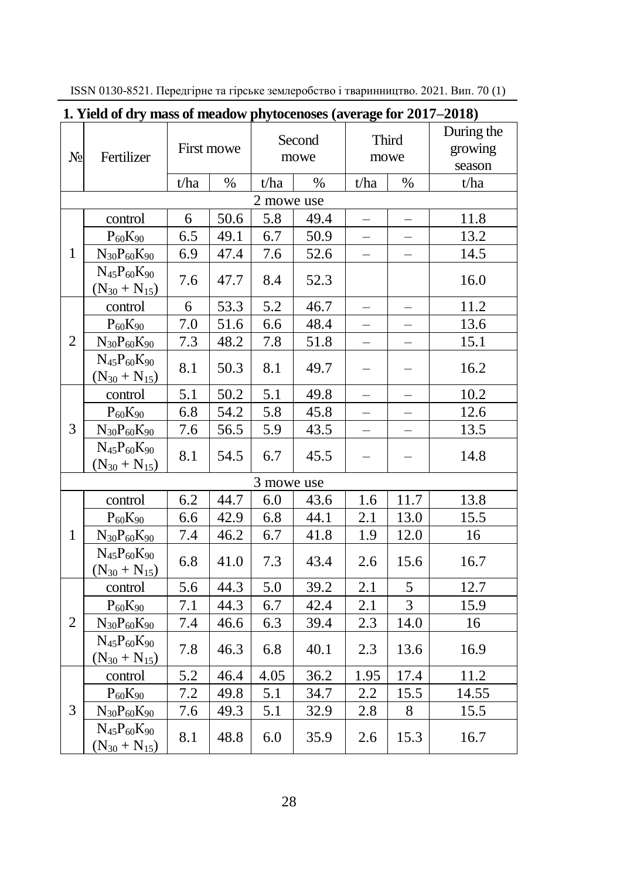| 1. Yield of dry mass of meadow phytocenoses (average for 2017–2018) |                                             |                  |      |                |      |                          |                          |                       |  |  |
|---------------------------------------------------------------------|---------------------------------------------|------------------|------|----------------|------|--------------------------|--------------------------|-----------------------|--|--|
| $N_2$                                                               | Fertilizer                                  | First mowe       |      | Second<br>mowe |      | Third<br>mowe            |                          | During the<br>growing |  |  |
|                                                                     |                                             |                  |      |                |      |                          |                          | season                |  |  |
|                                                                     |                                             | t/ha             | $\%$ | t/ha           | $\%$ | t/ha                     | $\%$                     | t/ha                  |  |  |
|                                                                     |                                             |                  |      | 2 mowe use     |      |                          |                          |                       |  |  |
| $\mathbf{1}$                                                        | control                                     | 6                | 50.6 | 5.8            | 49.4 |                          |                          | 11.8                  |  |  |
|                                                                     | $P_{60}K_{90}$                              | $\overline{6.5}$ | 49.1 | 6.7            | 50.9 |                          |                          | 13.2                  |  |  |
|                                                                     | $N_{30}P_{60}K_{90}$                        | 6.9              | 47.4 | 7.6            | 52.6 |                          |                          | 14.5                  |  |  |
|                                                                     | $N_{45}P_{60}K_{90}$<br>$(N_{30} + N_{15})$ | 7.6              | 47.7 | 8.4            | 52.3 |                          |                          | 16.0                  |  |  |
| $\overline{2}$                                                      | control                                     | 6                | 53.3 | 5.2            | 46.7 |                          |                          | 11.2                  |  |  |
|                                                                     | $P_{60}K_{90}$                              | 7.0              | 51.6 | 6.6            | 48.4 |                          |                          | 13.6                  |  |  |
|                                                                     | $N_{30}P_{60}K_{90}$                        | 7.3              | 48.2 | 7.8            | 51.8 | $\overline{\phantom{0}}$ |                          | 15.1                  |  |  |
|                                                                     | $N_{45}P_{60}K_{90}$<br>$(N_{30} + N_{15})$ | 8.1              | 50.3 | 8.1            | 49.7 | $\overline{\phantom{0}}$ | $\overline{\phantom{0}}$ | 16.2                  |  |  |
| 3                                                                   | control                                     | 5.1              | 50.2 | 5.1            | 49.8 | $\overline{\phantom{0}}$ |                          | 10.2                  |  |  |
|                                                                     | $P_{60}K_{90}$                              | 6.8              | 54.2 | 5.8            | 45.8 |                          |                          | 12.6                  |  |  |
|                                                                     | $N_{30}P_{60}K_{90}$                        | 7.6              | 56.5 | 5.9            | 43.5 | $\overline{\phantom{0}}$ | $\overline{\phantom{0}}$ | 13.5                  |  |  |
|                                                                     | $N_{45}P_{60}K_{90}$<br>$(N_{30} + N_{15})$ | 8.1              | 54.5 | 6.7            | 45.5 | $\overline{\phantom{0}}$ |                          | 14.8                  |  |  |
| 3 mowe use                                                          |                                             |                  |      |                |      |                          |                          |                       |  |  |
| $\mathbf{1}$                                                        | control                                     | 6.2              | 44.7 | 6.0            | 43.6 | 1.6                      | 11.7                     | 13.8                  |  |  |
|                                                                     | $P_{60}K_{90}$                              | 6.6              | 42.9 | 6.8            | 44.1 | 2.1                      | 13.0                     | 15.5                  |  |  |
|                                                                     | $N_{30}P_{60}K_{90}$                        | 7.4              | 46.2 | 6.7            | 41.8 | 1.9                      | 12.0                     | 16                    |  |  |
|                                                                     | $N_{45}P_{60}K_{90}$<br>$(N_{30} + N_{15})$ | 6.8              | 41.0 | 7.3            | 43.4 | 2.6                      | 15.6                     | 16.7                  |  |  |
| $\overline{2}$                                                      | control                                     | 5.6              | 44.3 | 5.0            | 39.2 | 2.1                      | 5                        | 12.7                  |  |  |
|                                                                     | $P_{60}K_{90}$                              | 7.1              | 44.3 | 6.7            | 42.4 | 2.1                      | $\overline{3}$           | 15.9                  |  |  |
|                                                                     | $N_{30}P_{60}K_{90}$                        | 7.4              | 46.6 | 6.3            | 39.4 | 2.3                      | 14.0                     | 16                    |  |  |
|                                                                     | $N_{45}P_{60}K_{90}$<br>$(N_{30} + N_{15})$ | 7.8              | 46.3 | 6.8            | 40.1 | 2.3                      | 13.6                     | 16.9                  |  |  |
| 3                                                                   | control                                     | $\overline{5.2}$ | 46.4 | 4.05           | 36.2 | 1.95                     | $\overline{17.4}$        | 11.2                  |  |  |
|                                                                     | $P_{60}K_{90}$                              | 7.2              | 49.8 | 5.1            | 34.7 | 2.2                      | 15.5                     | 14.55                 |  |  |
|                                                                     | $N_{30}P_{60}K_{90}$                        | 7.6              | 49.3 | 5.1            | 32.9 | 2.8                      | $8\,$                    | 15.5                  |  |  |
|                                                                     | $N_{45}P_{60}K_{90}$<br>$(N_{30} + N_{15})$ | 8.1              | 48.8 | 6.0            | 35.9 | 2.6                      | 15.3                     | 16.7                  |  |  |

ISSN 0130-8521. Передгірне та гірське землеробство і тваринництво. 2021. Вип. 70 (1)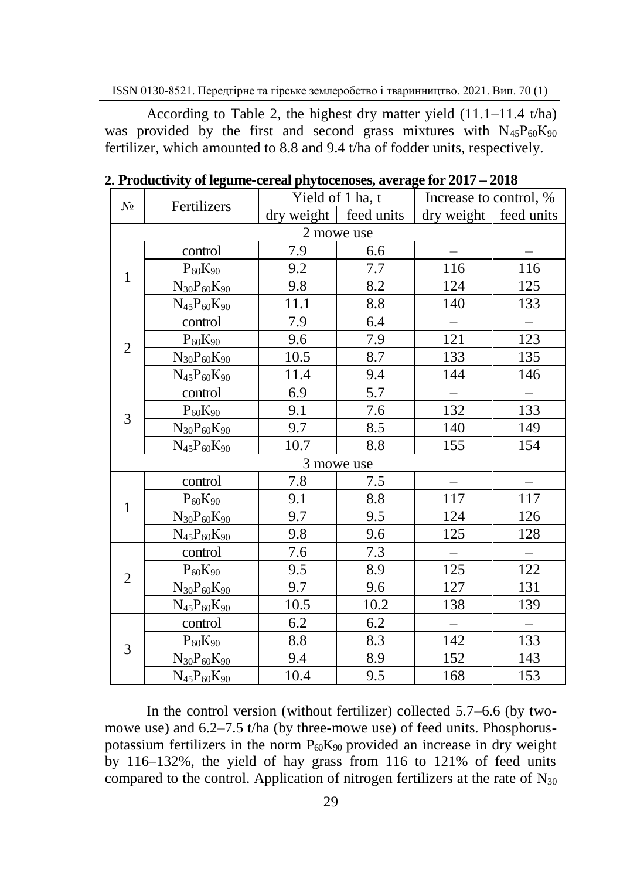According to Table 2, the highest dry matter yield  $(11.1-11.4 \text{ t/ha})$ was provided by the first and second grass mixtures with  $N_{45}P_{60}K_{90}$ fertilizer, which amounted to 8.8 and 9.4 t/ha of fodder units, respectively.

| $N_2$          |                      |            | Yield of 1 ha, t | Increase to control, %   |                          |  |  |  |  |  |  |  |
|----------------|----------------------|------------|------------------|--------------------------|--------------------------|--|--|--|--|--|--|--|
|                | Fertilizers          | dry weight | feed units       | dry weight               | feed units               |  |  |  |  |  |  |  |
| 2 mowe use     |                      |            |                  |                          |                          |  |  |  |  |  |  |  |
|                | control              | 7.9        | 6.6              |                          |                          |  |  |  |  |  |  |  |
|                | $P_{60}K_{90}$       | 9.2        | 7.7              | 116                      | 116                      |  |  |  |  |  |  |  |
| 1              | $N_{30}P_{60}K_{90}$ | 9.8        | 8.2              | 124                      | 125                      |  |  |  |  |  |  |  |
|                | $N_{45}P_{60}K_{90}$ | 11.1       | 8.8              | 140                      | 133                      |  |  |  |  |  |  |  |
|                | control              | 7.9        | 6.4              | $\overline{\phantom{0}}$ | $\overline{\phantom{0}}$ |  |  |  |  |  |  |  |
|                | $P_{60}K_{90}$       | 9.6        | 7.9              | 121                      | 123                      |  |  |  |  |  |  |  |
| $\overline{2}$ | $N_{30}P_{60}K_{90}$ | 10.5       | 8.7              | 133                      | 135                      |  |  |  |  |  |  |  |
|                | $N_{45}P_{60}K_{90}$ | 11.4       | 9.4              | 144                      | 146                      |  |  |  |  |  |  |  |
|                | control              | 6.9        | 5.7              |                          |                          |  |  |  |  |  |  |  |
|                | $P_{60}K_{90}$       | 9.1        | 7.6              | 132                      | 133                      |  |  |  |  |  |  |  |
| 3              | $N_{30}P_{60}K_{90}$ | 9.7        | 8.5              | 140                      | 149                      |  |  |  |  |  |  |  |
|                | $N_{45}P_{60}K_{90}$ | 10.7       | 8.8              | 155                      | 154                      |  |  |  |  |  |  |  |
| 3 mowe use     |                      |            |                  |                          |                          |  |  |  |  |  |  |  |
|                | control              | 7.8        | 7.5              |                          |                          |  |  |  |  |  |  |  |
| 1              | $P_{60}K_{90}$       | 9.1        | 8.8              | 117                      | 117                      |  |  |  |  |  |  |  |
|                | $N_{30}P_{60}K_{90}$ | 9.7        | 9.5              | 124                      | 126                      |  |  |  |  |  |  |  |
|                | $N_{45}P_{60}K_{90}$ | 9.8        | 9.6              | 125                      | 128                      |  |  |  |  |  |  |  |
|                | control              | 7.6        | 7.3              |                          |                          |  |  |  |  |  |  |  |
|                | $P_{60}K_{90}$       | 9.5        | 8.9              | 125                      | 122                      |  |  |  |  |  |  |  |
| $\overline{2}$ | $N_{30}P_{60}K_{90}$ | 9.7        | 9.6              | 127                      | 131                      |  |  |  |  |  |  |  |
|                | $N_{45}P_{60}K_{90}$ | 10.5       | 10.2             | 138                      | 139                      |  |  |  |  |  |  |  |
| 3              | control              | 6.2        | 6.2              | $\overline{\phantom{0}}$ |                          |  |  |  |  |  |  |  |
|                | $P_{60}K_{90}$       | 8.8        | 8.3              | 142                      | 133                      |  |  |  |  |  |  |  |
|                | $N_{30}P_{60}K_{90}$ | 9.4        | 8.9              | 152                      | 143                      |  |  |  |  |  |  |  |
|                | $N_{45}P_{60}K_{90}$ | 10.4       | 9.5              | 168                      | 153                      |  |  |  |  |  |  |  |

**2. Productivity of legume-cereal phytocenoses, average for 2017 – 2018**

In the control version (without fertilizer) collected 5.7–6.6 (by twomowe use) and 6.2–7.5 t/ha (by three-mowe use) of feed units. Phosphoruspotassium fertilizers in the norm  $P_{60}K_{90}$  provided an increase in dry weight by 116–132%, the yield of hay grass from 116 to 121% of feed units compared to the control. Application of nitrogen fertilizers at the rate of  $N_{30}$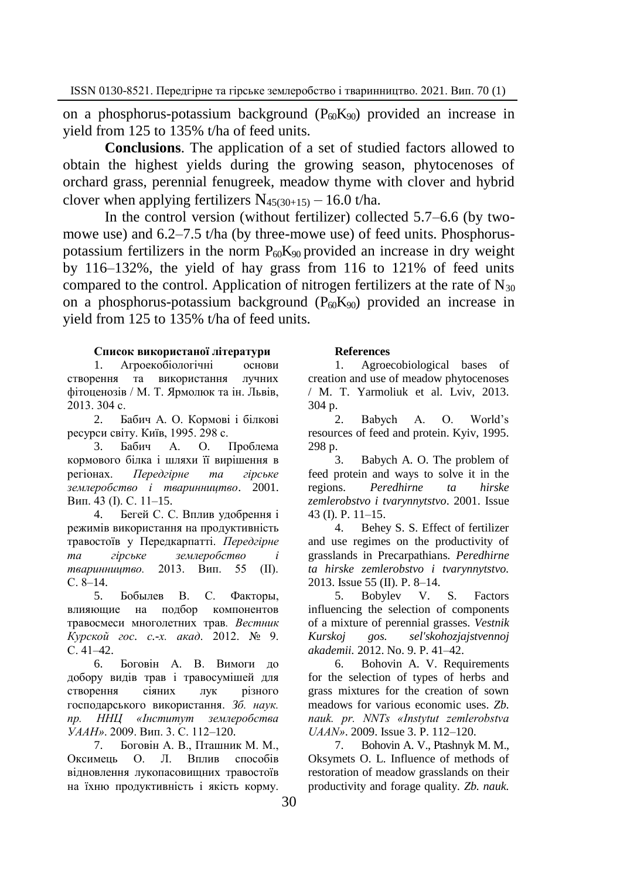on a phosphorus-potassium background  $(P<sub>60</sub>K<sub>90</sub>)$  provided an increase in yield from 125 to 135% t/ha of feed units.

**Conclusions**. The application of a set of studied factors allowed to obtain the highest yields during the growing season, phytocenoses of orchard grass, perennial fenugreek, meadow thyme with clover and hybrid clover when applying fertilizers  $N_{45(30+15)} - 16.0$  t/ha.

In the control version (without fertilizer) collected 5.7–6.6 (by twomowe use) and 6.2–7.5 t/ha (by three-mowe use) of feed units. Phosphoruspotassium fertilizers in the norm  $P_{60}K_{90}$  provided an increase in dry weight by 116–132%, the yield of hay grass from 116 to 121% of feed units compared to the control. Application of nitrogen fertilizers at the rate of  $N_{30}$ on a phosphorus-potassium background  $(P_{60}K_{90})$  provided an increase in yield from 125 to 135% t/ha of feed units.

## **Список використаної літератури**

1. Агроекобіологічні основи створення та використання лучних фітоценозів / М. Т. Ярмолюк та ін. Львів, 2013. 304 с.

2. Бабич А. О. Кормові і білкові ресурси світу. Київ, 1995. 298 с.

О. Проблема кормового білка і шляхи її вирішення в регіонах. *Передгірне та гірське землеробство і тваринництво*. 2001. Вип. 43 (І). С. 11–15.

4. Бегей С. С. Вплив удобрення і режимів використання на продуктивність травостоїв у Передкарпатті. *Передгірне та гірське землеробство і тваринництво.* 2013. Вип. 55 (ІІ). С. 8–14.

5. Бобылев В. С. Факторы, влияющие на подбор компонентов травосмеси многолетних трав*. Вестник Курской гос. с.-х. акад*. 2012. № 9. С. 41–42.

6. Боговін А. В. Вимоги до добору видів трав і травосумішей для створення сіяних лук різного господарського використання. *Зб. наук. пр. ННЦ «Інститут землеробства УААН»*. 2009. Вип. 3. С. 112–120.

7. Боговін А. В., Пташник М. М., Оксимець О. Л. Вплив способів відновлення лукопасовищних травостоїв на їхню продуктивність і якість корму.

## **References**

1. Agroecobiological bases of creation and use of meadow phytocenoses / M. T. Yarmoliuk et al. Lviv, 2013. 304 p.

2. Babych A. O. World's resources of feed and protein. Kyiv, 1995. 298 p.

3. Babych A. O. The problem of feed protein and ways to solve it in the regions. *Peredhirne ta hirske zemlerobstvo i tvarynnytstvo*. 2001. Issue 43 (I). P. 11–15.

4. Behey S. S. Effect of fertilizer and use regimes on the productivity of grasslands in Precarpathians. *Peredhirne ta hirske zemlerobstvo i tvarynnytstvo.*  2013. Issue 55 (II). P. 8–14.

5. Bobylev V. S. Factors influencing the selection of components of a mixture of perennial grasses. *Vestnik Kurskoj gos. sel'skohozjajstvennoj akademii.* 2012. No. 9. P. 41–42.

6. Bohovin A. V. Requirements for the selection of types of herbs and grass mixtures for the creation of sown meadows for various economic uses. *Zb. nauk. pr. NNTs «Instytut zemlerobstva UAAN»*. 2009. Issue 3. P. 112–120.

7. Bohovin A. V., Ptashnyk M. M., Oksymets O. L. Influence of methods of restoration of meadow grasslands on their productivity and forage quality. *Zb. nauk.*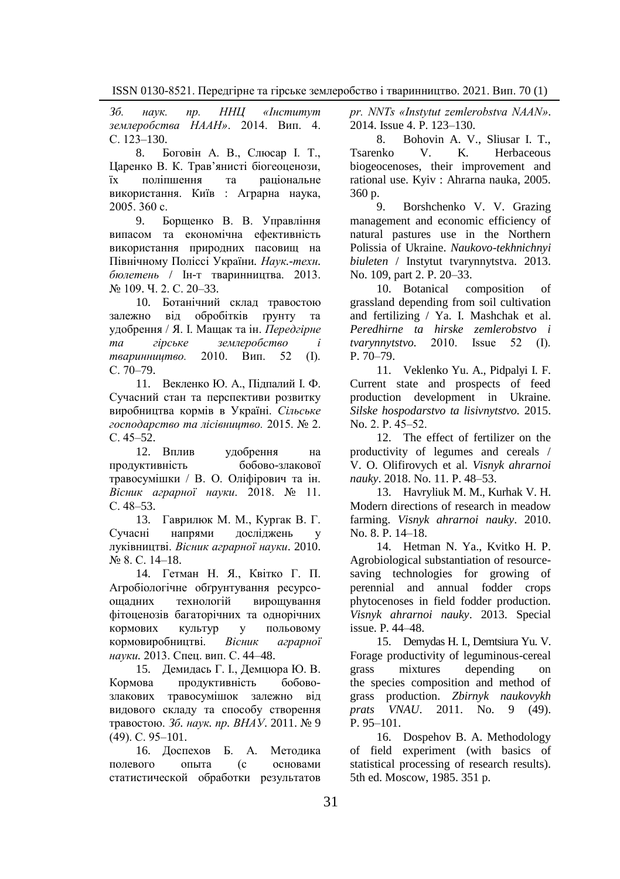*Зб. наук. пр. ННЦ «Інститут землеробства НААН»*. 2014. Вип. 4. С. 123-130.

8. Боговін А. В., Слюсар І. Т., Царенко В. К. Трав'янисті біогеоценози, їх поліпшення та раціональне використання. Київ : Аграрна наука, 2005. 360 с.

9. Борщенко В. В. Управління випасом та економічна ефективність використання природних пасовищ на Північному Поліссі України*. Наук.-техн. бюлетень* / Ін-т тваринництва. 2013. № 109. Ч. 2. С. 20–33.

10. Ботанічний склад травостою залежно від обробітків ґрунту та удобрення / Я. І. Мащак та ін. *Передгірне та гірське землеробство і тваринництво.* 2010. Вип. 52 (І). С. 70–79.

11. Векленко Ю. А., Підпалий І. Ф. Сучасний стан та перспективи розвитку виробництва кормів в Україні. *Сільське господарство та лісівництво.* 2015. № 2.  $C. 45–52.$ 

12. Вплив удобрення на продуктивність бобово-злакової травосумішки / В. О. Оліфірович та ін. *Вісник аграрної науки*. 2018. № 11. С. 48–53.

13. Гаврилюк М. М., Кургак В. Г. Сучасні напрями досліджень у луківництві. *Вісник аграрної науки*. 2010. № 8. С. 14–18.

14. Гетман Н. Я., Квітко Г. П. Агробіологічне обґрунтування ресурсоощадних технологій вирощування фітоценозів багаторічних та однорічних кормових культур у польовому кормовиробництві. *Вісник аграрної науки.* 2013. Спец. вип. С. 44–48.

15. Демидась Г. І., Демцюра Ю. В. Кормова продуктивність бобовозлакових травосумішок залежно від видового складу та способу створення травостою. *Зб. наук. пр. ВНАУ*. 2011. № 9 (49). С. 95–101.

16. Доспехов Б. А. Методика полевого опыта (с основами статистической обработки результатов *pr. NNTs «Instytut zemlerobstva NAAN»*. 2014. Issue 4. P. 123–130.

8. Bohovin A. V., Sliusar I. T.,<br>Tsarenko V. K. Herbaceous Herbaceous biogeocenoses, their improvement and rational use. Kyiv : Ahrarna nauka, 2005. 360 p.

9. Borshchenko V. V. Grazing management and economic efficiency of natural pastures use in the Northern Polissia of Ukraine. *Naukovo-tekhnichnyi biuleten* / Instytut tvarynnytstva. 2013. No. 109, part 2. P. 20–33.

10. Botanical composition of grassland depending from soil cultivation and fertilizing / Ya. I. Mashchak et al. *Peredhirne ta hirske zemlerobstvo i tvarynnytstvo.* 2010. Issue 52 (І). P. 70–79.

11. Veklenko Yu. A., Pidpalyi I. F. Current state and prospects of feed production development in Ukraine. *Silske hospodarstvo ta lisivnytstvo.* 2015. No. 2. P. 45–52.

12. The effect of fertilizer on the productivity of legumes and cereals / V. O. Olifirovych et al. *Visnyk ahrarnoi nauky*. 2018. No. 11. P. 48–53.

13. Havryliuk M. M., Kurhak V. H. Modern directions of research in meadow farming. *Visnyk ahrarnoi nauky*. 2010. No. 8. P. 14–18.

14. Hetman N. Ya., Kvitko H. P. Agrobiological substantiation of resourcesaving technologies for growing of perennial and annual fodder crops phytocenoses in field fodder production. *Visnyk ahrarnoi nauky*. 2013. Special issue. P. 44–48.

15. Demydas H. I., Demtsiura Yu. V. Forage productivity of leguminous-cereal grass mixtures depending on the species composition and method of grass production. *Zbirnyk naukovykh prats VNAU*. 2011. No. 9 (49). P. 95–101.

16. Dospehov B. A. Methodology of field experiment (with basics of statistical processing of research results). 5th ed. Moscow, 1985. 351 p.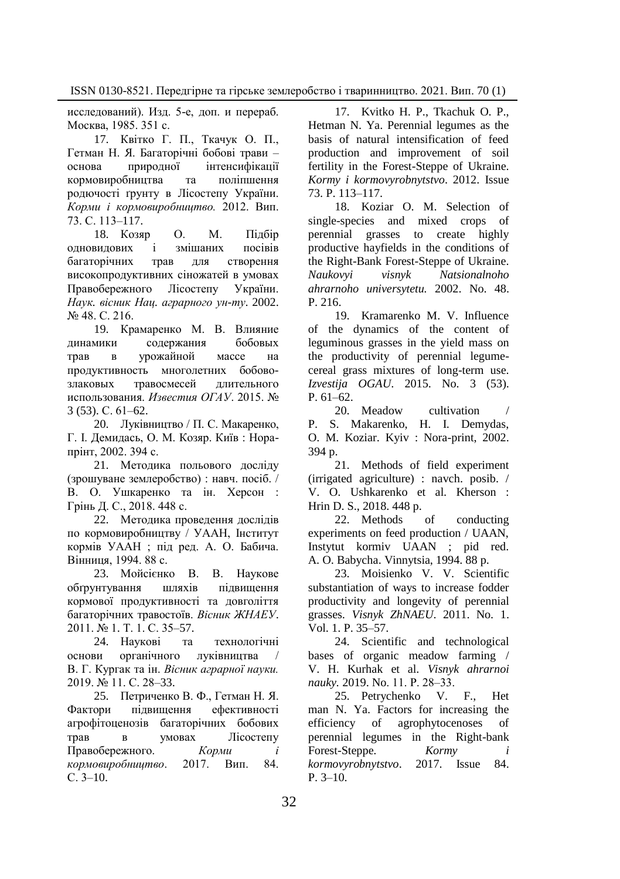исследований). Изд. 5-е, доп. и перераб. Москва, 1985. 351 с.

17. Квітко Г. П., Ткачук О. П., Гетман Н. Я. Багаторічні бобові трави – основа природної інтенсифікації кормовиробництва та поліпшення родючості ґрунту в Лісостепу України. *Корми і кормовиробництво.* 2012. Вип. 73. С. 113–117.

18. Козяр О. М. Підбір одновидових і змішаних посівів багаторічних трав для створення високопродуктивних сіножатей в умовах Правобережного Лісостепу України. *Наук. вісник Нац. аграрного ун-ту*. 2002. № 48. С. 216.

19. Крамаренко М. В. Влияние динамики содержания бобовых трав в урожайной массе на продуктивность многолетних бобовозлаковых травосмесей длительного использования. *Известия ОГАУ*. 2015. № 3 (53). С. 61–62.

20. Луківництво / П. С. Макаренко, Г. І. Демидась, О. М. Козяр. Київ : Норапрінт, 2002. 394 с.

21. Методика польового досліду (зрошуване землеробство) : навч. посіб. / В. О. Ушкаренко та ін. Херсон : Грінь Д. С., 2018. 448 с.

22. Методика проведення дослідів по кормовиробництву / УААН, Інститут кормів УААН ; під ред. А. О. Бабича. Вінниця, 1994. 88 с.

23. Мойсієнко В. В. Наукове обґрунтування шляхів підвищення кормової продуктивності та довголіття багаторічних травостоїв. *Вісник ЖНАЕУ*. 2011. № 1. Т. 1. С. 35–57.

24. Наукові та технологічні основи органічного луківництва В. Г. Кургак та ін. *Вісник аграрної науки.* 2019. № 11. С. 28–33.

25. Петриченко В. Ф., Гетман Н. Я. Фактори підвищення ефективності агрофітоценозів багаторічних бобових трав в умовах Лісостепу Правобережного. *Корми і кормовиробництво*. 2017. Вип. 84. С. 3–10.

17. Kvitko H. P., Tkachuk O. P., Hetman N. Ya. Perennial legumes as the basis of natural intensification of feed production and improvement of soil fertility in the Forest-Steppe of Ukraine. *Kormy i kormovyrobnytstvo*. 2012. Issue 73. P. 113–117.

18. Koziar O. M. Selection of single-species and mixed crops of perennial grasses to create highly productive hayfields in the conditions of the Right-Bank Forest-Steppe of Ukraine. *Naukovyi visnyk Natsionalnoho ahrarnoho universytetu.* 2002. No. 48. P. 216.

19. Kramarenko M. V. Influence of the dynamics of the content of leguminous grasses in the yield mass on the productivity of perennial legumecereal grass mixtures of long-term use. *Izvestija OGAU*. 2015. No. 3 (53). P. 61–62.

20. Meadow cultivation P. S. Makarenko, H. I. Demydas, O. M. Koziar. Kyiv : Nora-print, 2002. 394 p.

21. Methods of field experiment (irrigated agriculture) : navch. posib. / V. O. Ushkarenko et al. Kherson : Hrin D. S., 2018. 448 p.

22. Methods of conducting experiments on feed production / UAAN, Instytut kormiv UAAN ; pid red. A. O. Babycha. Vinnytsia, 1994. 88 p.

23. Moisienko V. V. Scientific substantiation of ways to increase fodder productivity and longevity of perennial grasses. *Visnyk ZhNAEU*. 2011. No. 1. Vol. 1. P. 35–57.

24. Scientific and technological bases of organic meadow farming / V. H. Kurhak et al. *Visnyk ahrarnoi nauky.* 2019. No. 11. P. 28‒33.

25. Petrychenko V. F., Het man N. Ya. Factors for increasing the efficiency of agrophytocenoses of perennial legumes in the Right-bank Forest-Steppe*. Kormy i kormovyrobnytstvo*. 2017. Issue 84. P. 3–10.